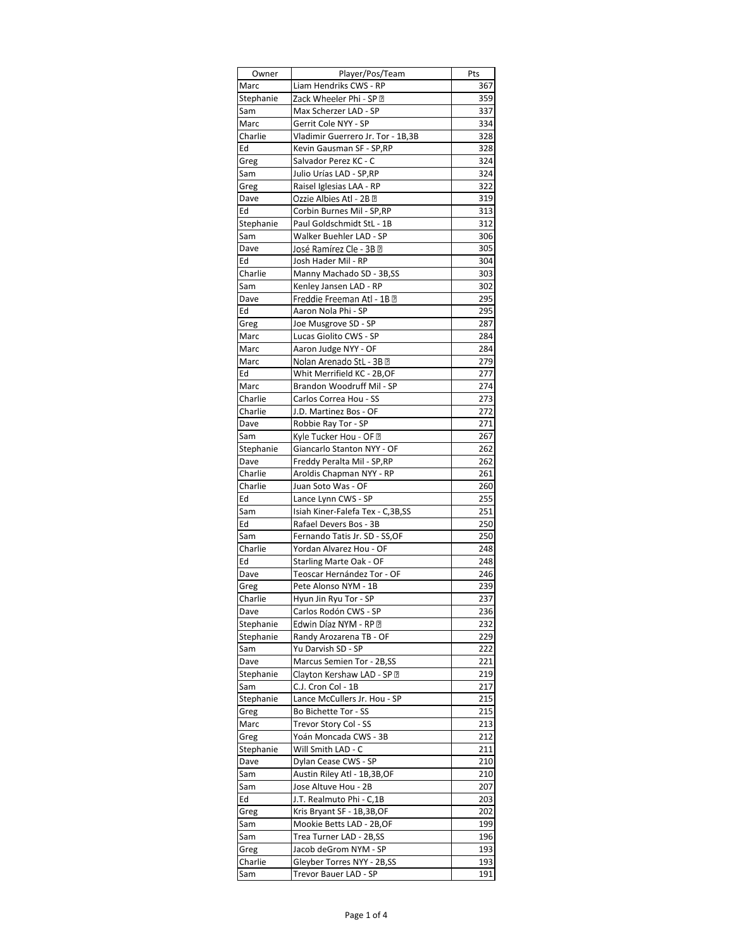| Owner     | Player/Pos/Team                   | Pts |
|-----------|-----------------------------------|-----|
| Marc      | Liam Hendriks CWS - RP            | 367 |
| Stephanie | Zack Wheeler Phi - SP @           | 359 |
| Sam       | Max Scherzer LAD - SP             | 337 |
| Marc      | Gerrit Cole NYY - SP              | 334 |
| Charlie   | Vladimir Guerrero Jr. Tor - 1B,3B | 328 |
| Ed        | Kevin Gausman SF - SP, RP         | 328 |
| Greg      | Salvador Perez KC - C             | 324 |
| Sam       | Julio Urías LAD - SP,RP           | 324 |
| Greg      | Raisel Iglesias LAA - RP          | 322 |
| Dave      | Ozzie Albies Atl - 2B ए           | 319 |
| Ed        | Corbin Burnes Mil - SP, RP        | 313 |
| Stephanie | Paul Goldschmidt StL - 1B         | 312 |
| Sam       | Walker Buehler LAD - SP           | 306 |
| Dave      | José Ramírez Cle - 3B ₪           | 305 |
| Ed        | Josh Hader Mil - RP               | 304 |
| Charlie   | Manny Machado SD - 3B,SS          | 303 |
| Sam       | Kenley Jansen LAD - RP            | 302 |
| Dave      | Freddie Freeman Atl - 1B ?        | 295 |
| Ed        | Aaron Nola Phi - SP               | 295 |
| Greg      | Joe Musgrove SD - SP              | 287 |
| Marc      | Lucas Giolito CWS - SP            | 284 |
| Marc      | Aaron Judge NYY - OF              | 284 |
| Marc      | Nolan Arenado StL - 3B ?          | 279 |
| Ed        | Whit Merrifield KC - 2B,OF        | 277 |
| Marc      | Brandon Woodruff Mil - SP         | 274 |
| Charlie   | Carlos Correa Hou - SS            | 273 |
| Charlie   | J.D. Martinez Bos - OF            | 272 |
| Dave      | Robbie Ray Tor - SP               | 271 |
| Sam       | Kyle Tucker Hou - OF ?            | 267 |
| Stephanie | Giancarlo Stanton NYY - OF        | 262 |
| Dave      | Freddy Peralta Mil - SP, RP       | 262 |
| Charlie   | Aroldis Chapman NYY - RP          | 261 |
| Charlie   | Juan Soto Was - OF                | 260 |
| Ed        | Lance Lynn CWS - SP               | 255 |
| Sam       | Isiah Kiner-Falefa Tex - C,3B,SS  | 251 |
| Ed        | Rafael Devers Bos - 3B            | 250 |
| Sam       | Fernando Tatis Jr. SD - SS, OF    | 250 |
| Charlie   | Yordan Alvarez Hou - OF           | 248 |
| Ed        | Starling Marte Oak - OF           | 248 |
| Dave      | Teoscar Hernández Tor - OF        | 246 |
| Greg      | Pete Alonso NYM - 1B              | 239 |
| Charlie   | Hyun Jin Ryu Tor - SP             | 237 |
| Dave      | Carlos Rodón CWS - SP             | 236 |
| Stephanie | Edwin Díaz NYM - RP ?             | 232 |
| Stephanie | Randy Arozarena TB - OF           | 229 |
| Sam       | Yu Darvish SD - SP                | 222 |
| Dave      | Marcus Semien Tor - 2B,SS         | 221 |
| Stephanie | Clayton Kershaw LAD - SP ?        | 219 |
| Sam       | C.J. Cron Col - 1B                | 217 |
| Stephanie | Lance McCullers Jr. Hou - SP      | 215 |
| Greg      | Bo Bichette Tor - SS              | 215 |
| Marc      | Trevor Story Col - SS             | 213 |
| Greg      | Yoán Moncada CWS - 3B             | 212 |
| Stephanie | Will Smith LAD - C                | 211 |
| Dave      | Dylan Cease CWS - SP              | 210 |
| Sam       | Austin Riley Atl - 1B,3B,OF       | 210 |
| Sam       | Jose Altuve Hou - 2B              | 207 |
| Ed        | J.T. Realmuto Phi - C,1B          | 203 |
| Greg      | Kris Bryant SF - 1B,3B,OF         | 202 |
| Sam       | Mookie Betts LAD - 2B, OF         | 199 |
| Sam       | Trea Turner LAD - 2B,SS           | 196 |
| Greg      | Jacob deGrom NYM - SP             | 193 |
| Charlie   | Gleyber Torres NYY - 2B,SS        | 193 |
| Sam       | Trevor Bauer LAD - SP             | 191 |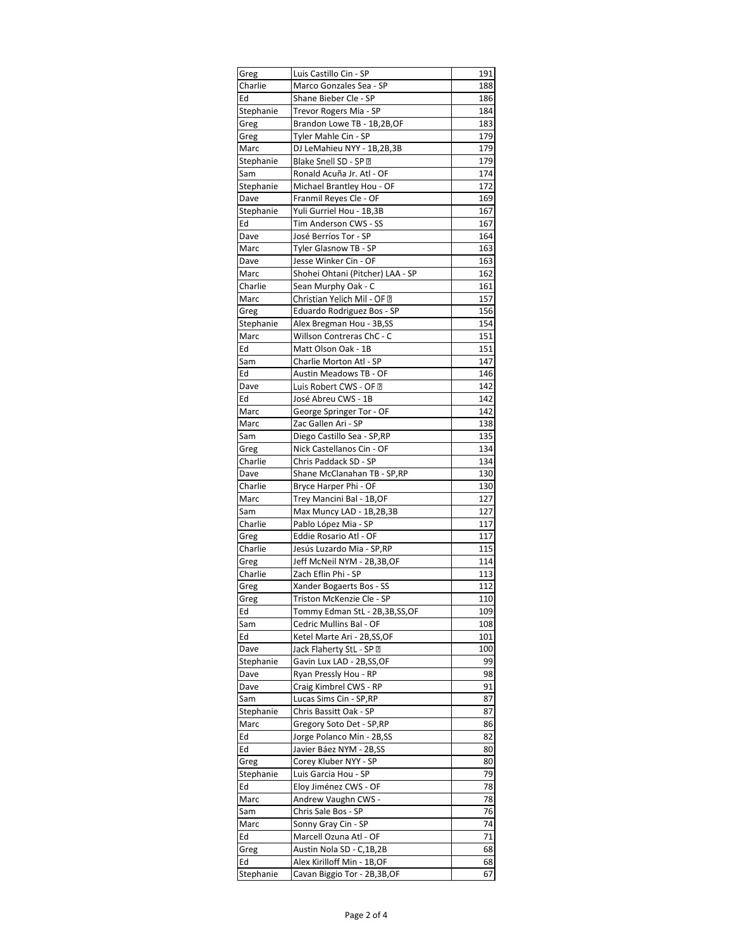| Greg            | Luis Castillo Cin - SP                             | 191        |
|-----------------|----------------------------------------------------|------------|
| Charlie         | Marco Gonzales Sea - SP                            | 188        |
| Ed              | Shane Bieber Cle - SP                              | 186        |
| Stephanie       | Trevor Rogers Mia - SP                             | 184        |
| Greg            | Brandon Lowe TB - 1B,2B,OF                         | 183        |
| Greg            | Tyler Mahle Cin - SP                               | 179        |
| Marc            | DJ LeMahieu NYY - 1B,2B,3B                         | 179        |
| Stephanie       | Blake Snell SD - SP ??                             | 179        |
| Sam             | Ronald Acuña Jr. Atl - OF                          | 174        |
| Stephanie       | Michael Brantley Hou - OF                          | 172        |
| Dave            | Franmil Reyes Cle - OF                             | 169        |
| Stephanie       | Yuli Gurriel Hou - 1B,3B                           | 167        |
| Ed              | Tim Anderson CWS - SS                              | 167        |
| Dave            | José Berríos Tor - SP                              | 164        |
| Marc            | Tyler Glasnow TB - SP                              | 163        |
| Dave            | Jesse Winker Cin - OF                              | 163        |
| Marc            | Shohei Ohtani (Pitcher) LAA - SP                   | 162        |
| Charlie         | Sean Murphy Oak - C                                | 161        |
| Marc            | Christian Yelich Mil - OF ?                        | 157        |
| Greg            | Eduardo Rodriguez Bos - SP                         | 156        |
| Stephanie       | Alex Bregman Hou - 3B,SS                           | 154        |
| Marc            | Willson Contreras ChC - C                          | 151        |
| Ed              | Matt Olson Oak - 1B                                | 151        |
| Sam             | Charlie Morton Atl - SP                            | 147        |
| Ed              | Austin Meadows TB - OF                             | 146        |
| Dave            | Luis Robert CWS - OF ?                             | 142        |
| Ed              | José Abreu CWS - 1B                                | 142        |
| Marc            | George Springer Tor - OF                           | 142        |
| Marc            | Zac Gallen Ari - SP                                | 138        |
| Sam             | Diego Castillo Sea - SP, RP                        | 135        |
| Greg            | Nick Castellanos Cin - OF<br>Chris Paddack SD - SP | 134<br>134 |
| Charlie<br>Dave | Shane McClanahan TB - SP, RP                       | 130        |
| Charlie         | Bryce Harper Phi - OF                              | 130        |
| Marc            | Trey Mancini Bal - 1B,OF                           | 127        |
| Sam             | Max Muncy LAD - 1B,2B,3B                           | 127        |
| Charlie         | Pablo López Mia - SP                               | 117        |
| Greg            | Eddie Rosario Atl - OF                             | 117        |
| Charlie         | Jesús Luzardo Mia - SP,RP                          | 115        |
| Greg            | Jeff McNeil NYM - 2B,3B,OF                         | 114        |
| Charlie         | Zach Eflin Phi - SP                                | 113        |
| Greg            | Xander Bogaerts Bos - SS                           | 112        |
| Greg            | Triston McKenzie Cle - SP                          | 110        |
| Ed              | Tommy Edman StL - 2B,3B,SS,OF                      | 109        |
| Sam             | Cedric Mullins Bal - OF                            | 108        |
| Ed              | Ketel Marte Ari - 2B,SS,OF                         | 101        |
| Dave            | Jack Flaherty StL - SP ?                           | 100        |
| Stephanie       | Gavin Lux LAD - 2B,SS,OF                           | 99         |
| Dave            | Ryan Pressly Hou - RP                              | 98         |
| Dave            | Craig Kimbrel CWS - RP                             | 91         |
| Sam             | Lucas Sims Cin - SP,RP                             | 87         |
| Stephanie       | Chris Bassitt Oak - SP                             | 87         |
| Marc            | Gregory Soto Det - SP,RP                           | 86         |
| Ed              | Jorge Polanco Min - 2B,SS                          | 82         |
| Ed              | Javier Báez NYM - 2B,SS                            | 80         |
| Greg            | Corey Kluber NYY - SP                              | 80         |
| Stephanie       | Luis Garcia Hou - SP                               | 79         |
| Ed              | Eloy Jiménez CWS - OF                              | 78         |
| Marc            | Andrew Vaughn CWS -                                | 78         |
| Sam             | Chris Sale Bos - SP                                | 76         |
| Marc            | Sonny Gray Cin - SP                                | 74         |
| Ed              | Marcell Ozuna Atl - OF                             | 71         |
| Greg            | Austin Nola SD - C,1B,2B                           | 68         |
| Ed              | Alex Kirilloff Min - 1B, OF                        | 68         |
| Stephanie       | Cavan Biggio Tor - 2B,3B,OF                        | 67         |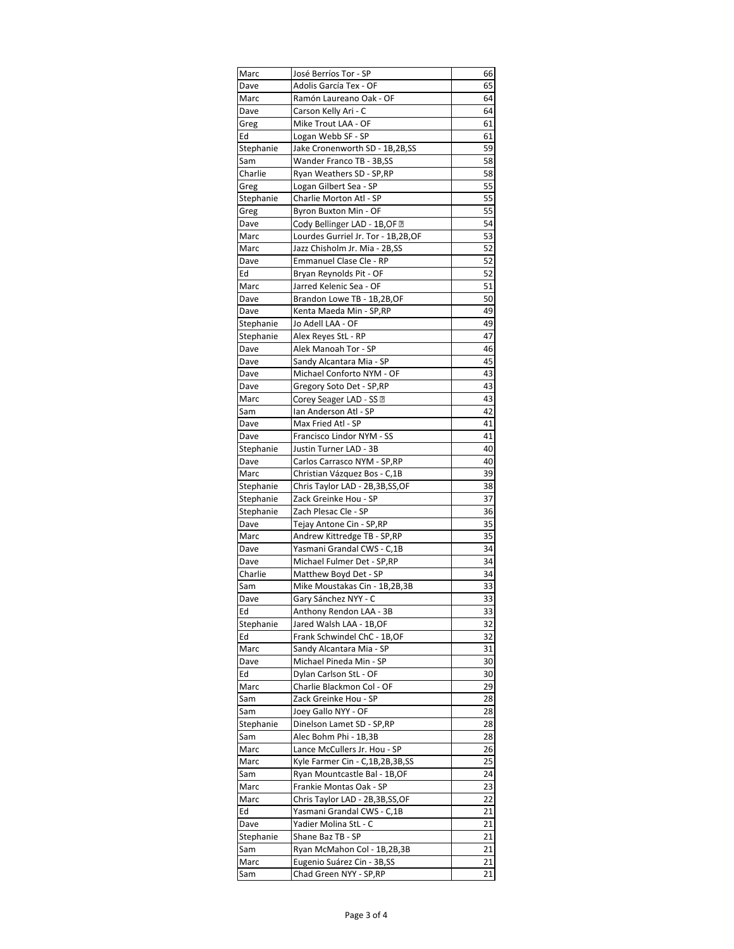| Marc       | José Berríos Tor - SP                                    | 66       |
|------------|----------------------------------------------------------|----------|
| Dave       | Adolis García Tex - OF                                   | 65       |
| Marc       | Ramón Laureano Oak - OF                                  | 64       |
| Dave       | Carson Kelly Ari - C                                     | 64       |
| Greg       | Mike Trout LAA - OF                                      | 61       |
| Ed         | Logan Webb SF - SP                                       | 61       |
| Stephanie  | Jake Cronenworth SD - 1B,2B,SS                           | 59       |
| Sam        | Wander Franco TB - 3B,SS                                 | 58       |
| Charlie    | Ryan Weathers SD - SP, RP                                | 58       |
| Greg       | Logan Gilbert Sea - SP                                   | 55       |
| Stephanie  | Charlie Morton Atl - SP                                  | 55       |
| Greg       | Byron Buxton Min - OF                                    | 55       |
| Dave       | Cody Bellinger LAD - 1B,OF <b>⊠</b>                      | 54       |
| Marc       | Lourdes Gurriel Jr. Tor - 1B,2B,OF                       | 53       |
| Marc       | Jazz Chisholm Jr. Mia - 2B,SS                            | 52       |
| Dave       | Emmanuel Clase Cle - RP                                  | 52       |
| Ed         | Bryan Reynolds Pit - OF                                  | 52       |
| Marc       | Jarred Kelenic Sea - OF                                  | 51       |
| Dave       | Brandon Lowe TB - 1B,2B,OF                               | 50       |
| Dave       | Kenta Maeda Min - SP,RP                                  | 49       |
| Stephanie  | Jo Adell LAA - OF                                        | 49       |
| Stephanie  | Alex Reyes StL - RP                                      | 47       |
| Dave       | Alek Manoah Tor - SP                                     | 46       |
| Dave       | Sandy Alcantara Mia - SP                                 | 45       |
| Dave       | Michael Conforto NYM - OF                                | 43       |
| Dave       | Gregory Soto Det - SP,RP                                 | 43       |
| Marc       | Corey Seager LAD - SS ?                                  | 43       |
| Sam        | Ian Anderson Atl - SP                                    | 42       |
| Dave       | Max Fried Atl - SP                                       | 41       |
| Dave       | Francisco Lindor NYM - SS                                | 41       |
| Stephanie  | Justin Turner LAD - 3B                                   | 40       |
| Dave       | Carlos Carrasco NYM - SP,RP                              | 40       |
| Marc       | Christian Vázquez Bos - C,1B                             | 39       |
| Stephanie  | Chris Taylor LAD - 2B,3B,SS,OF                           | 38       |
| Stephanie  | Zack Greinke Hou - SP                                    | 37       |
| Stephanie  | Zach Plesac Cle - SP                                     | 36       |
| Dave       | Tejay Antone Cin - SP,RP                                 | 35       |
| Marc       | Andrew Kittredge TB - SP,RP                              | 35       |
| Dave       | Yasmani Grandal CWS - C,1B                               | 34       |
| Dave       | Michael Fulmer Det - SP,RP                               | 34       |
| Charlie    | Matthew Boyd Det - SP                                    | 34       |
| Sam        | Mike Moustakas Cin - 1B,2B,3B                            | 33       |
| Dave       | Gary Sánchez NYY - C                                     | 33       |
| Ed         | Anthony Rendon LAA - 3B                                  | 33       |
| Stephanie  | Jared Walsh LAA - 1B, OF                                 | 32       |
| Ed         | Frank Schwindel ChC - 1B, OF<br>Sandy Alcantara Mia - SP | 32<br>31 |
| Marc       | Michael Pineda Min - SP                                  |          |
| Dave<br>Ed | Dylan Carlson StL - OF                                   | 30<br>30 |
| Marc       | Charlie Blackmon Col - OF                                | 29       |
| Sam        | Zack Greinke Hou - SP                                    | 28       |
| Sam        | Joey Gallo NYY - OF                                      | 28       |
| Stephanie  | Dinelson Lamet SD - SP, RP                               | 28       |
| Sam        | Alec Bohm Phi - 1B,3B                                    | 28       |
| Marc       | Lance McCullers Jr. Hou - SP                             | 26       |
| Marc       | Kyle Farmer Cin - C,1B,2B,3B,SS                          | 25       |
| Sam        | Ryan Mountcastle Bal - 1B, OF                            | 24       |
| Marc       | Frankie Montas Oak - SP                                  | 23       |
| Marc       | Chris Taylor LAD - 2B,3B,SS,OF                           | 22       |
| Ed         | Yasmani Grandal CWS - C,1B                               | 21       |
| Dave       | Yadier Molina StL - C                                    | 21       |
| Stephanie  | Shane Baz TB - SP                                        | 21       |
| Sam        | Ryan McMahon Col - 1B,2B,3B                              | 21       |
| Marc       | Eugenio Suárez Cin - 3B,SS                               | 21       |
| Sam        | Chad Green NYY - SP,RP                                   | 21       |
|            |                                                          |          |